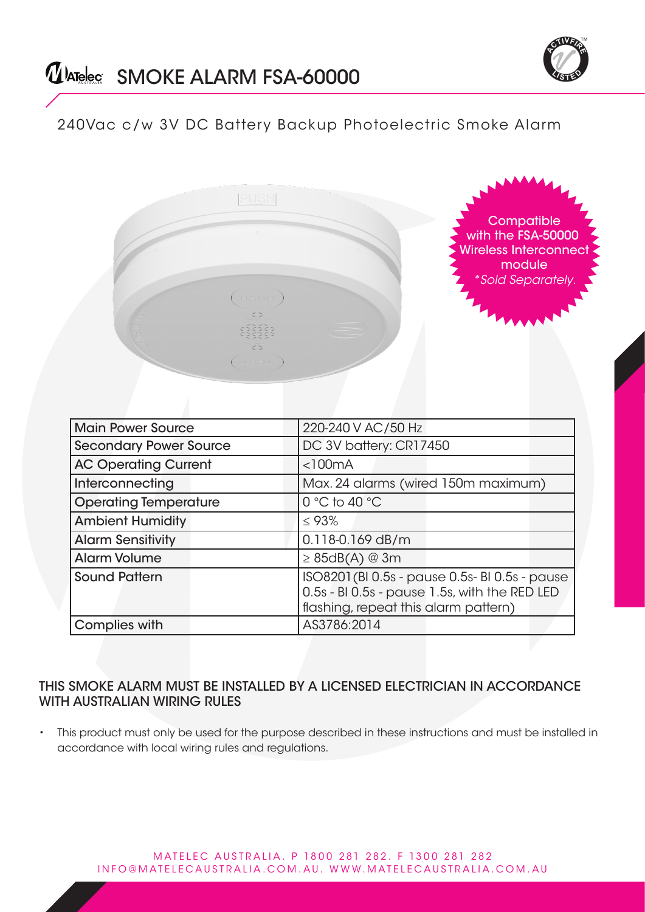

# 240Vac c/w 3V DC Battery Backup Photoelectric Smoke Alarm

|                               | HSOH<br>$\begin{array}{c} \begin{array}{c} \end{array} & \begin{array}{c} \end{array} & \begin{array}{c} \end{array} \end{array}$ | Compatible<br>with the FSA-50000<br><b>Wireless Interconnect</b><br>module<br><i>*Sold Separately.</i>                                  |
|-------------------------------|-----------------------------------------------------------------------------------------------------------------------------------|-----------------------------------------------------------------------------------------------------------------------------------------|
| <b>Main Power Source</b>      |                                                                                                                                   | 220-240 V AC/50 Hz                                                                                                                      |
| <b>Secondary Power Source</b> |                                                                                                                                   | DC 3V battery: CR17450                                                                                                                  |
| <b>AC Operating Current</b>   |                                                                                                                                   | < 100mA                                                                                                                                 |
| Interconnecting               |                                                                                                                                   | Max. 24 alarms (wired 150m maximum)                                                                                                     |
| <b>Operating Temperature</b>  |                                                                                                                                   | 0 °C to 40 °C                                                                                                                           |
| <b>Ambient Humidity</b>       |                                                                                                                                   | $\leq 93\%$                                                                                                                             |
| <b>Alarm Sensitivity</b>      |                                                                                                                                   | $0.118 - 0.169$ dB/m                                                                                                                    |
| <b>Alarm Volume</b>           |                                                                                                                                   | $\geq 85$ dB(A) @ 3m                                                                                                                    |
| <b>Sound Pattern</b>          |                                                                                                                                   | ISO8201 (BI 0.5s - pause 0.5s- BI 0.5s - pause<br>0.5s - BI 0.5s - pause 1.5s, with the RED LED<br>flashing, repeat this alarm pattern) |
| <b>Complies with</b>          |                                                                                                                                   | AS3786:2014                                                                                                                             |

### THIS SMOKE ALARM MUST BE INSTALLED BY A LICENSED ELECTRICIAN IN ACCORDANCE WITH AUSTRALIAN WIRING RULES

This product must only be used for the purpose described in these instructions and must be installed in accordance with local wiring rules and regulations.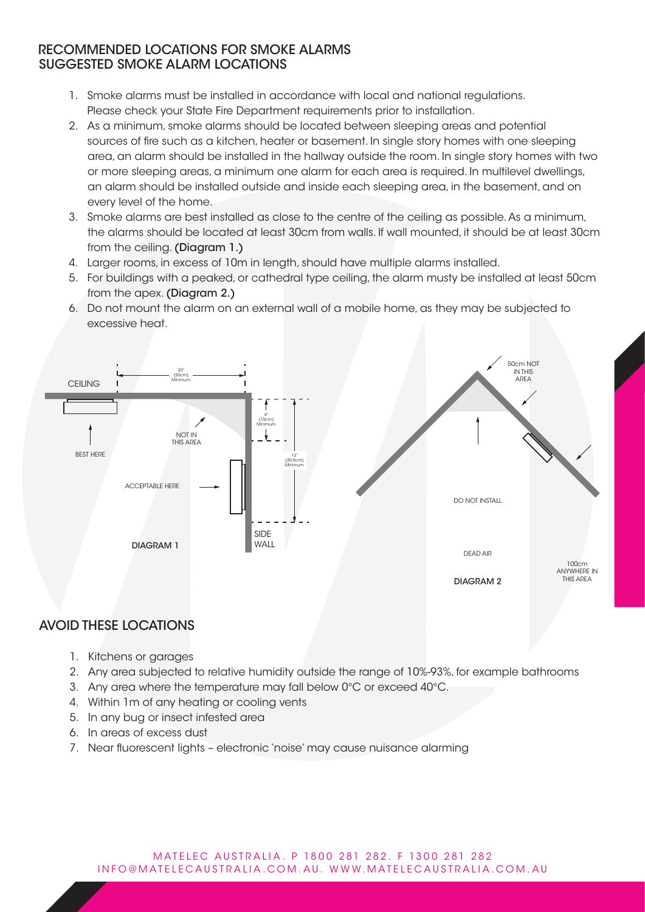### RECOMMENDED LOCATIONS FOR SMOKE ALARMS SUGGESTED SMOKE ALARM LOCATIONS

- 1. Smoke alarms must be installed in accordance with local and national regulations. Please check your State Fire Department requirements prior to installation.
- 2. As a minimum, smoke alarms should be located between sleeping areas and potential sources of fire such as a kitchen, heater or basement. In single story homes with one sleeping area, an alarm should be installed in the hallway outside the room. In single story homes with two or more sleeping areas, a minimum one alarm for each area is required. In multilevel dwellings, an alarm should be installed outside and inside each sleeping area, in the basement, and on every level of the home.
- 3. Smoke alarms are best installed as close to the centre of the ceiling as possible. As a minimum, the alarms should be located at least 30cm from walls. If wall mounted, it should be at least 30cm from the ceiling. (Diagram 1.)
- 4. Larger rooms, in excess of 10m in length, should have multiple alarms installed.
- 5. For buildings with a peaked, or cathedral type ceiling, the alarm musty be installed at least 50cm from the apex. (Diagram 2.)
- 6. Do not mount the alarm on an external wall of a mobile home, as they may be subjected to excessive heat.



# AVOID THESE LOCATIONS

- 1. Kitchens or garages
- 2. Any area subjected to relative humidity outside the range of 10%-93%, for example bathrooms
- 3. Any area where the temperature may fall below 0°C or exceed 40°C.
- 4. Within 1m of any heating or cooling vents
- 5. In any bug or insect infested area
- 6. In areas of excess dust
- 7. Near fluorescent lights electronic 'noise' may cause nuisance alarming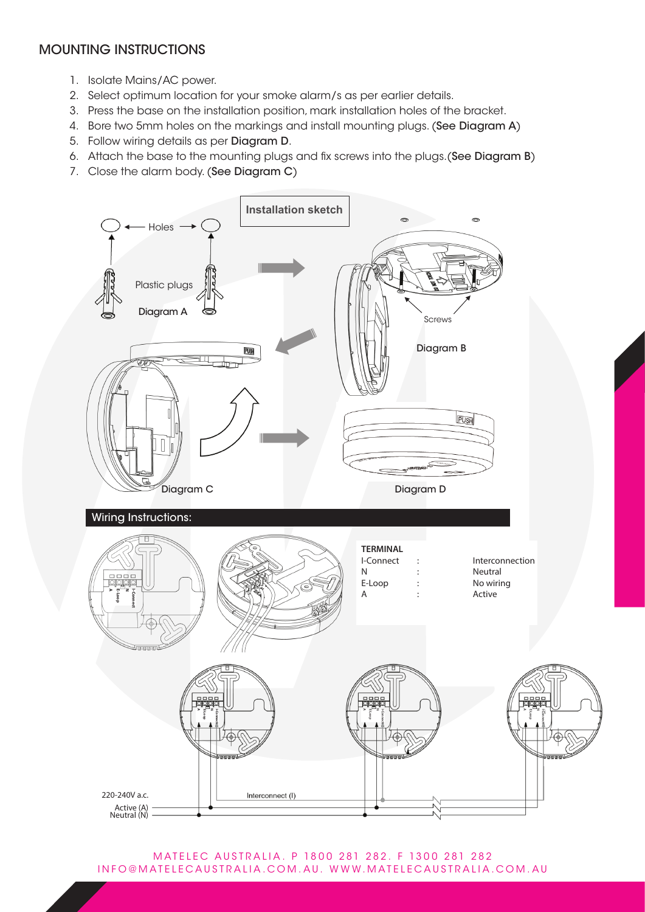# MOUNTING INSTRUCTIONS

- 1. Isolate Mains/AC power.
- 2. Select optimum location for your smoke alarm/s as per earlier details.
- 3. Press the base on the installation position, mark installation holes of the bracket.
- 4. Bore two 5mm holes on the markings and install mounting plugs. (See Diagram A)
- 5. Follow wiring details as per Diagram D.
- 6. Attach the base to the mounting plugs and fix screws into the plugs.(See Diagram B)
- 7. Close the alarm body. (See Diagram C)



MATELEC AUSTRALIA. P 1800 281 282. F 1300 281 282 INFO@MATELECAUSTRALIA.COM.AU. WWW.MATELECAUSTRALIA.COM.AU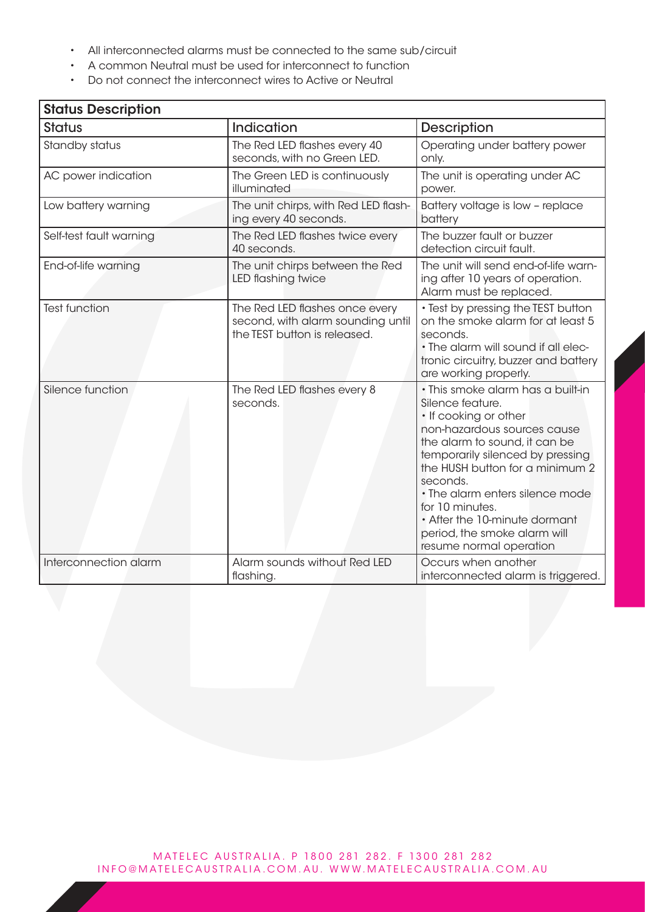- All interconnected alarms must be connected to the same sub/circuit
- A common Neutral must be used for interconnect to function
- Do not connect the interconnect wires to Active or Neutral

| <b>Status Description</b>                                          |                                                                                                     |                                                                                                                                                                                                                                                                                                                                                                                     |  |
|--------------------------------------------------------------------|-----------------------------------------------------------------------------------------------------|-------------------------------------------------------------------------------------------------------------------------------------------------------------------------------------------------------------------------------------------------------------------------------------------------------------------------------------------------------------------------------------|--|
| <b>Status</b>                                                      | Indication                                                                                          | <b>Description</b>                                                                                                                                                                                                                                                                                                                                                                  |  |
| Standby status                                                     | The Red LED flashes every 40<br>seconds, with no Green LED.                                         | Operating under battery power<br>only.                                                                                                                                                                                                                                                                                                                                              |  |
| AC power indication                                                | The Green LED is continuously<br>illuminated                                                        | The unit is operating under AC<br>power.                                                                                                                                                                                                                                                                                                                                            |  |
| Low battery warning                                                | The unit chirps, with Red LED flash-<br>ing every 40 seconds.                                       | Battery voltage is low - replace<br>battery                                                                                                                                                                                                                                                                                                                                         |  |
| Self-test fault warning                                            | The Red LED flashes twice every<br>40 seconds.                                                      | The buzzer fault or buzzer<br>detection circuit fault.                                                                                                                                                                                                                                                                                                                              |  |
| End-of-life warning                                                | The unit chirps between the Red<br>LED flashing twice                                               | The unit will send end-of-life warn-<br>ing after 10 years of operation.<br>Alarm must be replaced.                                                                                                                                                                                                                                                                                 |  |
| <b>Test function</b>                                               | The Red LED flashes once every<br>second, with alarm sounding until<br>the TEST button is released. | • Test by pressing the TEST button<br>on the smoke alarm for at least 5<br>seconds.<br>• The alarm will sound if all elec-<br>tronic circuitry, buzzer and battery<br>are working properly.                                                                                                                                                                                         |  |
| Silence function                                                   | The Red LED flashes every 8<br>seconds.                                                             | · This smoke alarm has a built-in<br>Silence feature.<br>• If cooking or other<br>non-hazardous sources cause<br>the alarm to sound, it can be<br>temporarily silenced by pressing<br>the HUSH button for a minimum 2<br>seconds.<br>• The alarm enters silence mode<br>for 10 minutes.<br>• After the 10-minute dormant<br>period, the smoke alarm will<br>resume normal operation |  |
| Interconnection alarm<br>Alarm sounds without Red LED<br>flashing. |                                                                                                     | Occurs when another<br>interconnected alarm is triggered.                                                                                                                                                                                                                                                                                                                           |  |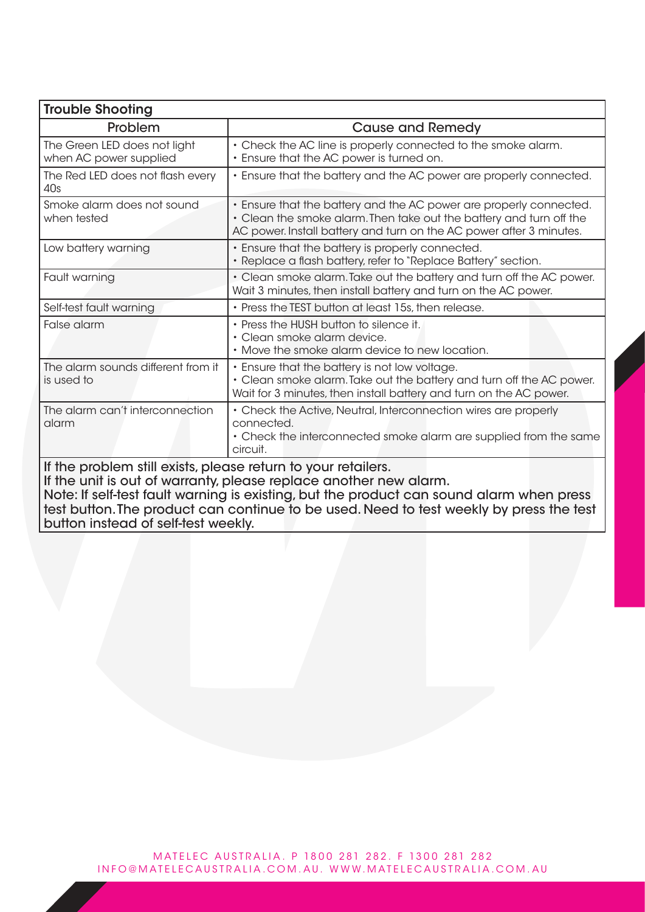| <b>Trouble Shooting</b>                                                                                                                                                                                                                                                                                                                                          |                                                                                                                                                                                                                  |  |  |
|------------------------------------------------------------------------------------------------------------------------------------------------------------------------------------------------------------------------------------------------------------------------------------------------------------------------------------------------------------------|------------------------------------------------------------------------------------------------------------------------------------------------------------------------------------------------------------------|--|--|
| Problem                                                                                                                                                                                                                                                                                                                                                          | <b>Cause and Remedy</b>                                                                                                                                                                                          |  |  |
| The Green LED does not light<br>when AC power supplied                                                                                                                                                                                                                                                                                                           | • Check the AC line is properly connected to the smoke alarm.<br>. Ensure that the AC power is turned on.                                                                                                        |  |  |
| The Red LED does not flash every<br>40s                                                                                                                                                                                                                                                                                                                          | . Ensure that the battery and the AC power are properly connected.                                                                                                                                               |  |  |
| Smoke alarm does not sound<br>when tested                                                                                                                                                                                                                                                                                                                        | . Ensure that the battery and the AC power are properly connected.<br>• Clean the smoke alarm. Then take out the battery and turn off the<br>AC power. Install battery and turn on the AC power after 3 minutes. |  |  |
| Low battery warning                                                                                                                                                                                                                                                                                                                                              | • Ensure that the battery is properly connected.<br>• Replace a flash battery, refer to "Replace Battery" section.                                                                                               |  |  |
| Fault warning                                                                                                                                                                                                                                                                                                                                                    | • Clean smoke alarm. Take out the battery and turn off the AC power.<br>Wait 3 minutes, then install battery and turn on the AC power.                                                                           |  |  |
| Self-test fault warning                                                                                                                                                                                                                                                                                                                                          | • Press the TEST button at least 15s, then release.                                                                                                                                                              |  |  |
| False alarm                                                                                                                                                                                                                                                                                                                                                      | • Press the HUSH button to silence it.<br>· Clean smoke alarm device.<br>• Move the smoke alarm device to new location.                                                                                          |  |  |
| The alarm sounds different from it<br>is used to                                                                                                                                                                                                                                                                                                                 | • Ensure that the battery is not low voltage.<br>• Clean smoke alarm. Take out the battery and turn off the AC power.<br>Wait for 3 minutes, then install battery and turn on the AC power.                      |  |  |
| The alarm can't interconnection<br>alarm                                                                                                                                                                                                                                                                                                                         | • Check the Active, Neutral, Interconnection wires are properly<br>connected.<br>• Check the interconnected smoke alarm are supplied from the same<br>circuit.                                                   |  |  |
| If the problem still exists, please return to your retailers.<br>If the unit is out of warranty, please replace another new alarm.<br>Note: If self-test fault warning is existing, but the product can sound alarm when press<br>test button. The product can continue to be used. Need to test weekly by press the test<br>button instead of self-test weekly. |                                                                                                                                                                                                                  |  |  |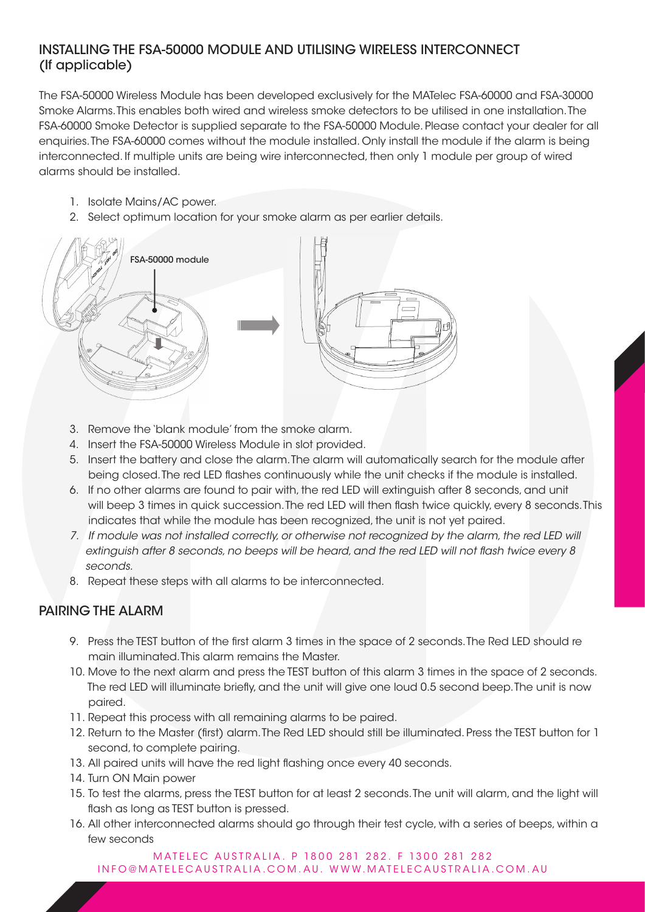## INSTALLING THE FSA-50000 MODULE AND UTILISING WIRELESS INTERCONNECT (If applicable)

The FSA-50000 Wireless Module has been developed exclusively for the MATelec FSA-60000 and FSA-30000 Smoke Alarms. This enables both wired and wireless smoke detectors to be utilised in one installation. The FSA-60000 Smoke Detector is supplied separate to the FSA-50000 Module. Please contact your dealer for all enquiries. The FSA-60000 comes without the module installed. Only install the module if the alarm is being interconnected. If multiple units are being wire interconnected, then only 1 module per group of wired alarms should be installed.

- 1. Isolate Mains/AC power.
- 2. Select optimum location for your smoke alarm as per earlier details.



- 3. Remove the 'blank module' from the smoke alarm.
- 4. Insert the FSA-50000 Wireless Module in slot provided.
- 5. Insert the battery and close the alarm. The alarm will automatically search for the module after being closed. The red LED flashes continuously while the unit checks if the module is installed.
- 6. If no other alarms are found to pair with, the red LED will extinguish after 8 seconds, and unit will beep 3 times in quick succession. The red LED will then flash twice quickly, every 8 seconds. This indicates that while the module has been recognized, the unit is not yet paired.
- *7. If module was not installed correctly, or otherwise not recognized by the alarm, the red LED will extinguish after 8 seconds, no beeps will be heard, and the red LED will not flash twice every 8 seconds.*
- 8. Repeat these steps with all alarms to be interconnected.

# PAIRING THE ALARM

- 9. Press the TEST button of the first alarm 3 times in the space of 2 seconds. The Red LED should re main illuminated. This alarm remains the Master.
- 10. Move to the next alarm and press the TEST button of this alarm 3 times in the space of 2 seconds. The red LED will illuminate briefly, and the unit will give one loud 0.5 second beep. The unit is now paired.
- 11. Repeat this process with all remaining alarms to be paired.
- 12. Return to the Master (first) alarm. The Red LED should still be illuminated. Press the TEST button for 1 second, to complete pairing.
- 13. All paired units will have the red light flashing once every 40 seconds.
- 14. Turn ON Main power
- 15. To test the alarms, press the TEST button for at least 2 seconds. The unit will alarm, and the light will flash as long as TEST button is pressed.
- 16. All other interconnected alarms should go through their test cycle, with a series of beeps, within a few seconds

MATELEC AUSTRALIA. P 1800 281 282. F 1300 281 282 INFO@MATELECAUSTRALIA.COM.AU. WWW.MATELECAUSTRALIA.COM.AU